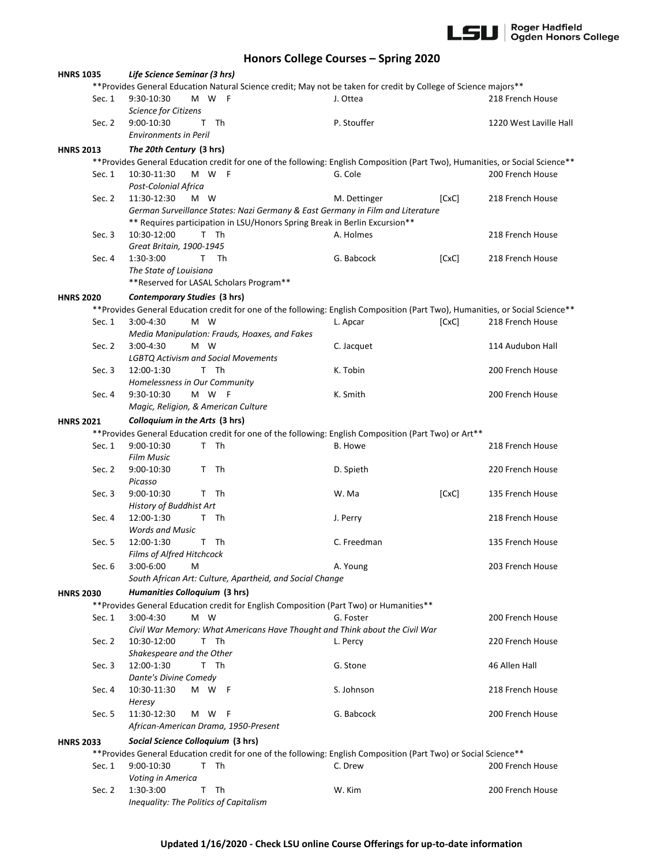

## **Honors College Courses – Spring 2020**

| <b>HNRS 1035</b>                                      |        | Life Science Seminar (3 hrs)                                                                                                   |              |       |                        |
|-------------------------------------------------------|--------|--------------------------------------------------------------------------------------------------------------------------------|--------------|-------|------------------------|
|                                                       |        | **Provides General Education Natural Science credit; May not be taken for credit by College of Science majors**                |              |       |                        |
|                                                       | Sec. 1 | 9:30-10:30<br>M W F                                                                                                            | J. Ottea     |       | 218 French House       |
|                                                       |        | Science for Citizens                                                                                                           |              |       |                        |
|                                                       | Sec. 2 | T Th<br>9:00-10:30                                                                                                             | P. Stouffer  |       | 1220 West Laville Hall |
|                                                       |        | <b>Environments in Peril</b>                                                                                                   |              |       |                        |
| <b>HNRS 2013</b>                                      |        | The 20th Century (3 hrs)                                                                                                       |              |       |                        |
|                                                       |        | ** Provides General Education credit for one of the following: English Composition (Part Two), Humanities, or Social Science** |              |       |                        |
|                                                       | Sec. 1 | M W F<br>10:30-11:30                                                                                                           | G. Cole      |       | 200 French House       |
|                                                       |        | Post-Colonial Africa                                                                                                           |              |       |                        |
|                                                       | Sec. 2 | 11:30-12:30<br>M W                                                                                                             | M. Dettinger | [CxC] | 218 French House       |
|                                                       |        | German Surveillance States: Nazi Germany & East Germany in Film and Literature                                                 |              |       |                        |
|                                                       |        | ** Requires participation in LSU/Honors Spring Break in Berlin Excursion**                                                     |              |       |                        |
|                                                       | Sec. 3 | 10:30-12:00<br>T Th                                                                                                            | A. Holmes    |       | 218 French House       |
|                                                       |        | Great Britain, 1900-1945                                                                                                       |              |       |                        |
|                                                       |        | 1:30-3:00<br>$\mathsf{T}$<br>Th                                                                                                | G. Babcock   | [CxC] |                        |
|                                                       | Sec. 4 |                                                                                                                                |              |       | 218 French House       |
|                                                       |        | The State of Louisiana                                                                                                         |              |       |                        |
|                                                       |        | **Reserved for LASAL Scholars Program**                                                                                        |              |       |                        |
| <b>HNRS 2020</b>                                      |        | Contemporary Studies (3 hrs)                                                                                                   |              |       |                        |
|                                                       |        | ** Provides General Education credit for one of the following: English Composition (Part Two), Humanities, or Social Science** |              |       |                        |
|                                                       | Sec. 1 | 3:00-4:30<br>M W                                                                                                               | L. Apcar     | [CxC] | 218 French House       |
|                                                       |        | Media Manipulation: Frauds, Hoaxes, and Fakes                                                                                  |              |       |                        |
|                                                       | Sec. 2 | M W<br>$3:00 - 4:30$                                                                                                           | C. Jacquet   |       | 114 Audubon Hall       |
|                                                       |        | <b>LGBTQ Activism and Social Movements</b>                                                                                     |              |       |                        |
|                                                       | Sec. 3 | 12:00-1:30<br>T Th                                                                                                             | K. Tobin     |       | 200 French House       |
|                                                       |        | Homelessness in Our Community                                                                                                  |              |       |                        |
|                                                       | Sec. 4 | 9:30-10:30<br>M W F                                                                                                            | K. Smith     |       | 200 French House       |
|                                                       |        | Magic, Religion, & American Culture                                                                                            |              |       |                        |
|                                                       |        | Colloquium in the Arts (3 hrs)                                                                                                 |              |       |                        |
| <b>HNRS 2021</b>                                      |        |                                                                                                                                |              |       |                        |
|                                                       |        | **Provides General Education credit for one of the following: English Composition (Part Two) or Art**<br>T Th                  |              |       |                        |
|                                                       | Sec. 1 | 9:00-10:30                                                                                                                     | B. Howe      |       | 218 French House       |
|                                                       |        | <b>Film Music</b>                                                                                                              |              |       |                        |
|                                                       | Sec. 2 | T Th<br>9:00-10:30                                                                                                             | D. Spieth    |       | 220 French House       |
|                                                       |        | Picasso                                                                                                                        |              |       |                        |
|                                                       | Sec. 3 | T Th<br>9:00-10:30                                                                                                             | W. Ma        | [CxC] | 135 French House       |
|                                                       |        | History of Buddhist Art                                                                                                        |              |       |                        |
|                                                       | Sec. 4 | 12:00-1:30<br>T Th                                                                                                             | J. Perry     |       | 218 French House       |
|                                                       |        | <b>Words and Music</b>                                                                                                         |              |       |                        |
|                                                       | Sec. 5 | 12:00-1:30<br>T.<br>- Th                                                                                                       | C. Freedman  |       | 135 French House       |
|                                                       |        | Films of Alfred Hitchcock                                                                                                      |              |       |                        |
|                                                       | Sec. 6 | 3:00-6:00<br>М                                                                                                                 | A. Young     |       | 203 French House       |
|                                                       |        | South African Art: Culture, Apartheid, and Social Change                                                                       |              |       |                        |
| <b>HNRS 2030</b>                                      |        | Humanities Colloquium (3 hrs)                                                                                                  |              |       |                        |
|                                                       |        | ** Provides General Education credit for English Composition (Part Two) or Humanities**                                        |              |       |                        |
|                                                       | Sec. 1 | 3:00-4:30<br>M W                                                                                                               | G. Foster    |       | 200 French House       |
|                                                       |        | Civil War Memory: What Americans Have Thought and Think about the Civil War                                                    |              |       |                        |
|                                                       | Sec. 2 | 10:30-12:00<br>T Th                                                                                                            | L. Percy     |       | 220 French House       |
|                                                       |        | Shakespeare and the Other                                                                                                      |              |       |                        |
|                                                       | Sec. 3 | T Th<br>12:00-1:30                                                                                                             | G. Stone     |       | 46 Allen Hall          |
|                                                       |        | Dante's Divine Comedy                                                                                                          |              |       |                        |
|                                                       | Sec. 4 | 10:30-11:30<br>M W F                                                                                                           | S. Johnson   |       | 218 French House       |
|                                                       |        | Heresy                                                                                                                         |              |       |                        |
|                                                       |        | 11:30-12:30                                                                                                                    | G. Babcock   |       |                        |
|                                                       | Sec. 5 | M W<br>- F<br>African-American Drama, 1950-Present                                                                             |              |       | 200 French House       |
|                                                       |        |                                                                                                                                |              |       |                        |
| Social Science Colloquium (3 hrs)<br><b>HNRS 2033</b> |        |                                                                                                                                |              |       |                        |
|                                                       |        | ** Provides General Education credit for one of the following: English Composition (Part Two) or Social Science**              |              |       |                        |
|                                                       | Sec. 1 | 9:00-10:30<br>- Th<br>T.                                                                                                       | C. Drew      |       | 200 French House       |
|                                                       |        | Voting in America                                                                                                              |              |       |                        |
|                                                       | Sec. 2 | Th<br>1:30-3:00<br>T                                                                                                           | W. Kim       |       | 200 French House       |
|                                                       |        | Inequality: The Politics of Capitalism                                                                                         |              |       |                        |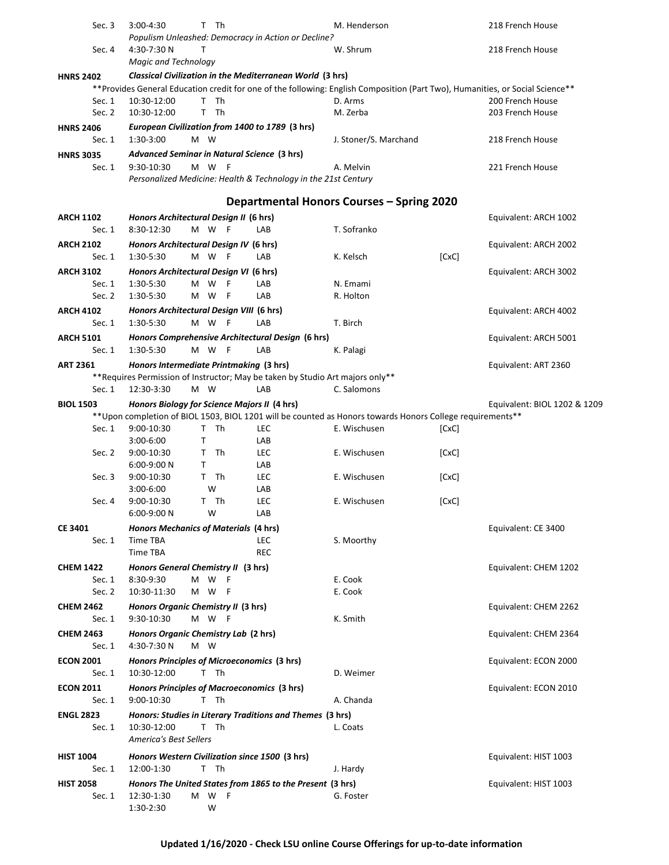| Sec. 3           | 3:00-4:30                     | T Th                                         |                                                                                | M. Henderson                                                                                                                  |       | 218 French House             |
|------------------|-------------------------------|----------------------------------------------|--------------------------------------------------------------------------------|-------------------------------------------------------------------------------------------------------------------------------|-------|------------------------------|
|                  |                               |                                              | Populism Unleashed: Democracy in Action or Decline?                            |                                                                                                                               |       |                              |
| Sec. 4           | 4:30-7:30 N                   | т                                            |                                                                                | W. Shrum                                                                                                                      |       | 218 French House             |
|                  | <b>Magic and Technology</b>   |                                              |                                                                                |                                                                                                                               |       |                              |
| <b>HNRS 2402</b> |                               |                                              | Classical Civilization in the Mediterranean World (3 hrs)                      |                                                                                                                               |       |                              |
|                  |                               |                                              |                                                                                | **Provides General Education credit for one of the following: English Composition (Part Two), Humanities, or Social Science** |       |                              |
| Sec. 1           | 10:30-12:00                   | T Th                                         |                                                                                | D. Arms                                                                                                                       |       | 200 French House             |
| Sec. 2           | 10:30-12:00                   | T Th                                         |                                                                                | M. Zerba                                                                                                                      |       | 203 French House             |
| <b>HNRS 2406</b> |                               |                                              | European Civilization from 1400 to 1789 (3 hrs)                                |                                                                                                                               |       |                              |
| Sec. $1$         | 1:30-3:00                     | M W                                          |                                                                                | J. Stoner/S. Marchand                                                                                                         |       | 218 French House             |
| <b>HNRS 3035</b> |                               | Advanced Seminar in Natural Science (3 hrs)  |                                                                                |                                                                                                                               |       |                              |
| Sec. 1           | 9:30-10:30                    | M W F                                        |                                                                                | A. Melvin                                                                                                                     |       | 221 French House             |
|                  |                               |                                              | Personalized Medicine: Health & Technology in the 21st Century                 |                                                                                                                               |       |                              |
|                  |                               |                                              |                                                                                |                                                                                                                               |       |                              |
|                  |                               |                                              |                                                                                | <b>Departmental Honors Courses - Spring 2020</b>                                                                              |       |                              |
| <b>ARCH 1102</b> |                               | Honors Architectural Design II (6 hrs)       |                                                                                |                                                                                                                               |       | Equivalent: ARCH 1002        |
| Sec. 1           | 8:30-12:30                    | M W F                                        | LAB                                                                            | T. Sofranko                                                                                                                   |       |                              |
| <b>ARCH 2102</b> |                               | Honors Architectural Design IV (6 hrs)       |                                                                                |                                                                                                                               |       | Equivalent: ARCH 2002        |
| Sec. 1           | 1:30-5:30                     | M W<br>- F                                   | LAB                                                                            | K. Kelsch                                                                                                                     | [CxC] |                              |
| <b>ARCH 3102</b> |                               | Honors Architectural Design VI (6 hrs)       |                                                                                |                                                                                                                               |       | Equivalent: ARCH 3002        |
| Sec. 1           | 1:30-5:30                     | M W<br>- F                                   | LAB                                                                            | N. Emami                                                                                                                      |       |                              |
| Sec. 2           | 1:30-5:30                     | M W<br>- F                                   | LAB                                                                            | R. Holton                                                                                                                     |       |                              |
| <b>ARCH 4102</b> |                               | Honors Architectural Design VIII (6 hrs)     |                                                                                |                                                                                                                               |       | Equivalent: ARCH 4002        |
| Sec. $1$         | 1:30-5:30                     | M W<br>- F                                   | LAB                                                                            | T. Birch                                                                                                                      |       |                              |
| <b>ARCH 5101</b> |                               |                                              | Honors Comprehensive Architectural Design (6 hrs)                              |                                                                                                                               |       | Equivalent: ARCH 5001        |
| Sec. 1           | 1:30-5:30                     | M W<br>F                                     | LAB                                                                            | K. Palagi                                                                                                                     |       |                              |
|                  |                               |                                              |                                                                                |                                                                                                                               |       |                              |
| <b>ART 2361</b>  |                               | Honors Intermediate Printmaking (3 hrs)      | ** Requires Permission of Instructor; May be taken by Studio Art majors only** |                                                                                                                               |       | Equivalent: ART 2360         |
| Sec. 1           | 12:30-3:30                    | M W                                          | LAB                                                                            | C. Salomons                                                                                                                   |       |                              |
|                  |                               |                                              |                                                                                |                                                                                                                               |       |                              |
| <b>BIOL 1503</b> |                               | Honors Biology for Science Majors II (4 hrs) |                                                                                |                                                                                                                               |       | Equivalent: BIOL 1202 & 1209 |
| Sec. 1           | 9:00-10:30                    | T Th                                         | LEC                                                                            | ** Upon completion of BIOL 1503, BIOL 1201 will be counted as Honors towards Honors College requirements**<br>E. Wischusen    | [CxC] |                              |
|                  | $3:00 - 6:00$                 | Τ                                            | LAB                                                                            |                                                                                                                               |       |                              |
| Sec. 2           | 9:00-10:30                    | Th<br>T.                                     | <b>LEC</b>                                                                     | E. Wischusen                                                                                                                  | [CxC] |                              |
|                  | $6:00-9:00 N$                 | Τ                                            | LAB                                                                            |                                                                                                                               |       |                              |
| Sec. 3           | 9:00-10:30                    | T Th                                         | <b>LEC</b>                                                                     | E. Wischusen                                                                                                                  | [CxC] |                              |
|                  | $3:00 - 6:00$                 | W                                            | LAB                                                                            |                                                                                                                               |       |                              |
| Sec. 4           | $9:00-10:30$                  | T Th                                         | LEC                                                                            | E. Wischusen                                                                                                                  | [CxC] |                              |
|                  | 6:00-9:00 N                   | W                                            | LAB                                                                            |                                                                                                                               |       |                              |
| <b>CE 3401</b>   |                               | Honors Mechanics of Materials (4 hrs)        |                                                                                |                                                                                                                               |       | Equivalent: CE 3400          |
| Sec. 1           | Time TBA                      |                                              | LEC                                                                            | S. Moorthy                                                                                                                    |       |                              |
|                  | Time TBA                      |                                              | <b>REC</b>                                                                     |                                                                                                                               |       |                              |
| <b>CHEM 1422</b> |                               | Honors General Chemistry II (3 hrs)          |                                                                                |                                                                                                                               |       | Equivalent: CHEM 1202        |
| Sec. 1           | 8:30-9:30                     | M W<br>- F                                   |                                                                                | E. Cook                                                                                                                       |       |                              |
| Sec. 2           | 10:30-11:30                   | M W<br>- F                                   |                                                                                | E. Cook                                                                                                                       |       |                              |
| <b>CHEM 2462</b> |                               | Honors Organic Chemistry II (3 hrs)          |                                                                                |                                                                                                                               |       | Equivalent: CHEM 2262        |
| Sec. $1$         | 9:30-10:30                    | M W F                                        |                                                                                | K. Smith                                                                                                                      |       |                              |
| <b>CHEM 2463</b> |                               | Honors Organic Chemistry Lab (2 hrs)         |                                                                                |                                                                                                                               |       | Equivalent: CHEM 2364        |
| Sec. 1           | 4:30-7:30 N                   | M W                                          |                                                                                |                                                                                                                               |       |                              |
| <b>ECON 2001</b> |                               | Honors Principles of Microeconomics (3 hrs)  |                                                                                |                                                                                                                               |       | Equivalent: ECON 2000        |
| Sec. 1           | 10:30-12:00                   | T Th                                         |                                                                                | D. Weimer                                                                                                                     |       |                              |
|                  |                               |                                              |                                                                                |                                                                                                                               |       |                              |
| <b>ECON 2011</b> |                               | T Th                                         | Honors Principles of Macroeconomics (3 hrs)                                    |                                                                                                                               |       | Equivalent: ECON 2010        |
| Sec. 1           | 9:00-10:30                    |                                              |                                                                                | A. Chanda                                                                                                                     |       |                              |
| <b>ENGL 2823</b> |                               |                                              | Honors: Studies in Literary Traditions and Themes (3 hrs)                      |                                                                                                                               |       |                              |
| Sec. 1           | 10:30-12:00                   | T Th                                         |                                                                                | L. Coats                                                                                                                      |       |                              |
|                  | <b>America's Best Sellers</b> |                                              |                                                                                |                                                                                                                               |       |                              |
| <b>HIST 1004</b> |                               |                                              | Honors Western Civilization since 1500 (3 hrs)                                 |                                                                                                                               |       | Equivalent: HIST 1003        |
| Sec. 1           | 12:00-1:30                    | T Th                                         |                                                                                | J. Hardy                                                                                                                      |       |                              |
| <b>HIST 2058</b> |                               |                                              | Honors The United States from 1865 to the Present (3 hrs)                      |                                                                                                                               |       | Equivalent: HIST 1003        |
| Sec. 1           | 12:30-1:30                    | M W F                                        |                                                                                | G. Foster                                                                                                                     |       |                              |
|                  | 1:30-2:30                     | W                                            |                                                                                |                                                                                                                               |       |                              |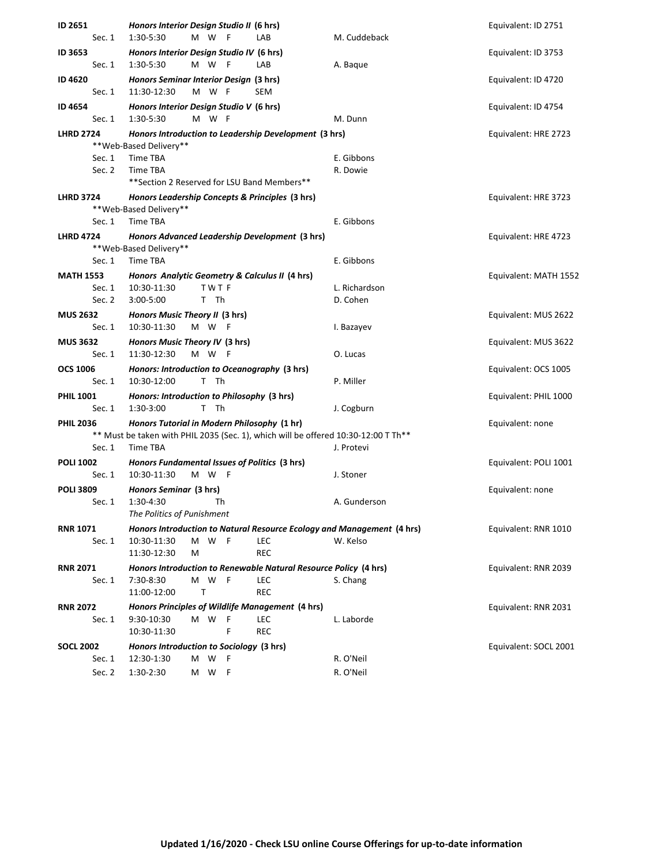| ID 2651                   | Honors Interior Design Studio II (6 hrs)                                                                       | Equivalent: ID 2751   |
|---------------------------|----------------------------------------------------------------------------------------------------------------|-----------------------|
| Sec. 1                    | 1:30-5:30<br>M W<br>LAB<br>M. Cuddeback                                                                        |                       |
| ID 3653                   | Honors Interior Design Studio IV (6 hrs)                                                                       | Equivalent: ID 3753   |
| Sec. 1                    | 1:30-5:30<br>M W<br>-F<br>LAB<br>A. Baque                                                                      |                       |
| ID 4620<br>Sec. 1         | Honors Seminar Interior Design (3 hrs)<br>11:30-12:30<br>M W F<br>SEM                                          | Equivalent: ID 4720   |
| <b>ID 4654</b>            | Honors Interior Design Studio V (6 hrs)                                                                        | Equivalent: ID 4754   |
| Sec. 1                    | M W F<br>1:30-5:30<br>M. Dunn                                                                                  |                       |
| <b>LHRD 2724</b>          | Honors Introduction to Leadership Development (3 hrs)                                                          | Equivalent: HRE 2723  |
|                           | **Web-Based Delivery**                                                                                         |                       |
| Sec. 1                    | Time TBA<br>E. Gibbons                                                                                         |                       |
| Sec. 2                    | Time TBA<br>R. Dowie<br>**Section 2 Reserved for LSU Band Members**                                            |                       |
|                           |                                                                                                                |                       |
| <b>LHRD 3724</b>          | Honors Leadership Concepts & Principles (3 hrs)<br>** Web-Based Delivery**                                     | Equivalent: HRE 3723  |
| Sec. 1                    | Time TBA<br>E. Gibbons                                                                                         |                       |
| <b>LHRD 4724</b>          | Honors Advanced Leadership Development (3 hrs)                                                                 | Equivalent: HRE 4723  |
|                           | **Web-Based Delivery**                                                                                         |                       |
| Sec. 1                    | Time TBA<br>E. Gibbons                                                                                         |                       |
| <b>MATH 1553</b>          | Honors Analytic Geometry & Calculus II (4 hrs)                                                                 | Equivalent: MATH 1552 |
| Sec. 1<br>Sec. 2          | 10:30-11:30<br><b>TWTF</b><br>L. Richardson<br>T Th<br>D. Cohen<br>3:00-5:00                                   |                       |
| <b>MUS 2632</b>           | Honors Music Theory II (3 hrs)                                                                                 | Equivalent: MUS 2622  |
| Sec. 1                    | 10:30-11:30<br>M W F<br>I. Bazayev                                                                             |                       |
| <b>MUS 3632</b>           | Honors Music Theory IV (3 hrs)                                                                                 | Equivalent: MUS 3622  |
| Sec. 1                    | 11:30-12:30<br>M W F<br>O. Lucas                                                                               |                       |
| <b>OCS 1006</b>           | Honors: Introduction to Oceanography (3 hrs)                                                                   | Equivalent: OCS 1005  |
| Sec. 1                    | T Th<br>P. Miller<br>10:30-12:00                                                                               |                       |
| <b>PHIL 1001</b>          | Honors: Introduction to Philosophy (3 hrs)                                                                     | Equivalent: PHIL 1000 |
| Sec. 1                    | 1:30-3:00<br>T Th<br>J. Cogburn                                                                                |                       |
| <b>PHIL 2036</b>          | Honors Tutorial in Modern Philosophy (1 hr)                                                                    | Equivalent: none      |
|                           | ** Must be taken with PHIL 2035 (Sec. 1), which will be offered 10:30-12:00 T Th**                             |                       |
| Sec. 1                    | Time TBA<br>J. Protevi                                                                                         |                       |
| <b>POLI 1002</b>          | Honors Fundamental Issues of Politics (3 hrs)                                                                  | Equivalent: POLI 1001 |
| Sec. 1                    | M W F<br>10:30-11:30<br>J. Stoner                                                                              |                       |
| <b>POLI 3809</b>          | Honors Seminar (3 hrs)                                                                                         | Equivalent: none      |
| Sec. 1                    | 1:30-4:30<br>Th<br>A. Gunderson                                                                                |                       |
|                           | The Politics of Punishment                                                                                     |                       |
| <b>RNR 1071</b>           | Honors Introduction to Natural Resource Ecology and Management (4 hrs)                                         | Equivalent: RNR 1010  |
| Sec. 1                    | M W<br>- F<br>LEC<br>W. Kelso<br>10:30-11:30<br>11:30-12:30<br>M<br><b>REC</b>                                 |                       |
|                           |                                                                                                                |                       |
| <b>RNR 2071</b><br>Sec. 1 | Honors Introduction to Renewable Natural Resource Policy (4 hrs)<br>7:30-8:30<br>M W<br>- F<br>LEC<br>S. Chang | Equivalent: RNR 2039  |
|                           | 11:00-12:00<br>T<br><b>REC</b>                                                                                 |                       |
| <b>RNR 2072</b>           | Honors Principles of Wildlife Management (4 hrs)                                                               | Equivalent: RNR 2031  |
| Sec. 1                    | 9:30-10:30<br>M W<br>- F<br>L. Laborde<br>LEC                                                                  |                       |
|                           | F<br><b>REC</b><br>10:30-11:30                                                                                 |                       |
| <b>SOCL 2002</b>          | Honors Introduction to Sociology (3 hrs)                                                                       | Equivalent: SOCL 2001 |
| Sec. 1                    | R. O'Neil<br>W<br>12:30-1:30<br>м<br>- F                                                                       |                       |
| Sec. 2                    | 1:30-2:30<br>M W<br>- F<br>R. O'Neil                                                                           |                       |